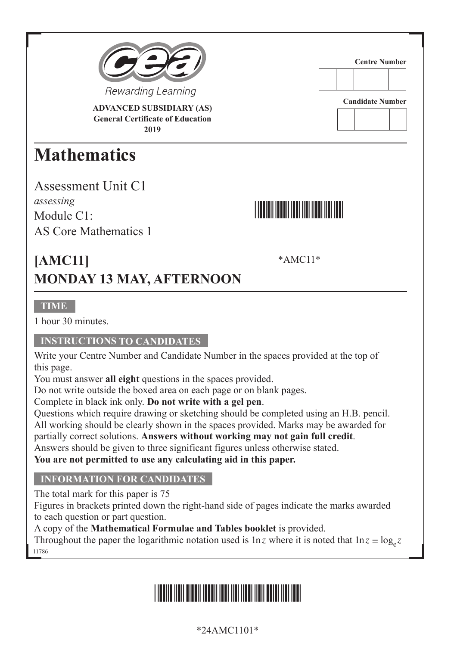

**ADVANCED SUBSIDIARY (AS) General Certificate of Education 2019**

## **Mathematics**

Assessment Unit C1 *assessing* Module C<sub>1</sub>. AS Core Mathematics 1



**Centre Number**

**Candidate Number**

\*AMC11\*

**[AMC11] MONDAY 13 MAY, AFTERNOON**

**TIME**

1 hour 30 minutes.

#### **INSTRUCTIONS TO CANDIDATES**

Write your Centre Number and Candidate Number in the spaces provided at the top of this page.

You must answer **all eight** questions in the spaces provided.

Do not write outside the boxed area on each page or on blank pages.

Complete in black ink only. **Do not write with a gel pen**.

Questions which require drawing or sketching should be completed using an H.B. pencil. All working should be clearly shown in the spaces provided. Marks may be awarded for partially correct solutions. **Answers without working may not gain full credit**.

Answers should be given to three significant figures unless otherwise stated.

**You are not permitted to use any calculating aid in this paper.**

#### **INFORMATION FOR CANDIDATES**

The total mark for this paper is 75

Figures in brackets printed down the right-hand side of pages indicate the marks awarded to each question or part question.

A copy of the **Mathematical Formulae and Tables booklet** is provided.

11786 Throughout the paper the logarithmic notation used is  $\ln z$  where it is noted that  $\ln z \equiv \log_a z$ 

# \*24AMC1101\*

### \*24AMC1101\*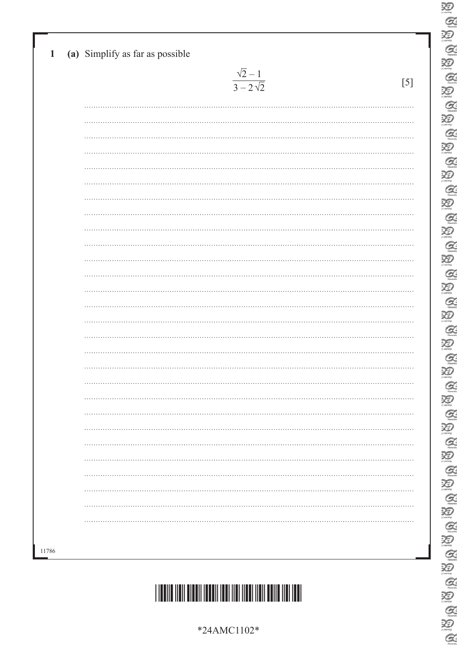|          | $\frac{\sqrt{2}-1}{3-2\sqrt{2}}$ | $[5]$ |
|----------|----------------------------------|-------|
|          |                                  |       |
|          |                                  |       |
|          |                                  |       |
|          |                                  |       |
|          |                                  |       |
|          |                                  |       |
|          |                                  |       |
|          |                                  |       |
|          |                                  |       |
|          |                                  |       |
|          |                                  |       |
|          |                                  |       |
|          |                                  |       |
|          |                                  |       |
|          |                                  |       |
|          |                                  |       |
|          |                                  |       |
|          |                                  |       |
| .        |                                  | .     |
|          |                                  |       |
|          |                                  |       |
|          |                                  |       |
| $\cdots$ |                                  |       |
|          |                                  |       |
|          |                                  |       |
|          |                                  |       |
|          |                                  |       |
|          |                                  |       |

 $\sum_{\text{Z}}$  $\alpha$  $\overline{\mathcal{Z}}$  $\alpha$  $\sum_{i \text{learning}}$  $Q$ 

E

泡

**ABA** 

E<br>Q

E

**BBBBB** 

E<br>Q

E

酒  $\alpha$ 

E

E

 $\sum_{n=1}^\infty$  $\alpha$ 迴

E<br>E

 $\alpha$ 

E Q B

E<br>E

E<br>E

 $Q$ 



\*24AMC1102\*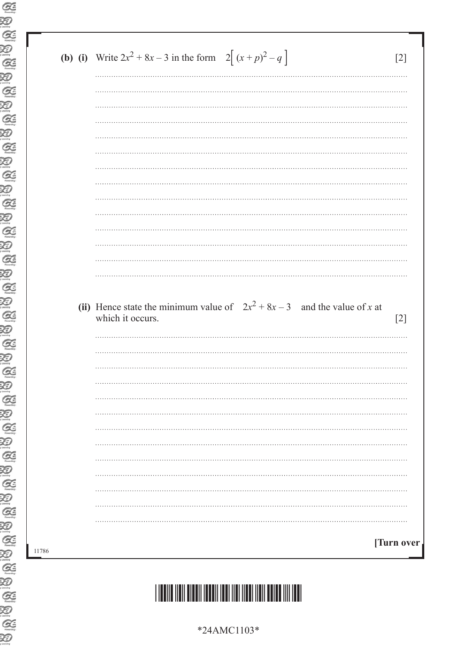| <b>(b) (i)</b> Write $2x^2 + 8x - 3$ in the form $2[(x+p)^2 - q]$                               |
|-------------------------------------------------------------------------------------------------|
|                                                                                                 |
|                                                                                                 |
|                                                                                                 |
|                                                                                                 |
|                                                                                                 |
|                                                                                                 |
|                                                                                                 |
|                                                                                                 |
|                                                                                                 |
|                                                                                                 |
|                                                                                                 |
| (ii) Hence state the minimum value of $2x^2 + 8x - 3$ and the value of x at<br>which it occurs. |
|                                                                                                 |
|                                                                                                 |
|                                                                                                 |
|                                                                                                 |
|                                                                                                 |
| .                                                                                               |
|                                                                                                 |
|                                                                                                 |
|                                                                                                 |
| [Turn over                                                                                      |

 $\text{\textbf{R}}_{\text{\textbf{R}}}\text{\textbf{R}}_{\text{\textbf{R}}}\text{\textbf{R}}_{\text{\textbf{R}}}\text{\textbf{R}}_{\text{\textbf{R}}}\text{\textbf{R}}_{\text{\textbf{R}}}\text{\textbf{R}}_{\text{\textbf{R}}}\text{\textbf{R}}_{\text{\textbf{R}}}\text{\textbf{R}}_{\text{\textbf{R}}}\text{\textbf{R}}_{\text{\textbf{R}}}\text{\textbf{R}}_{\text{\textbf{R}}}\text{\textbf{R}}_{\text{\textbf{R}}}\text{\textbf{R}}_{\text{\textbf{R}}}\text{\textbf{R}}_{\text{\textbf{R$ 

<u>\*11. 1111 | 1111 | 1111 | 1111 | 1111 | 1111 | 1111 | 1111 | 1111 | 1111 | 1111 | 1111 | 1111 | 1111 | 1111 | </u>

\*24AMC1103\*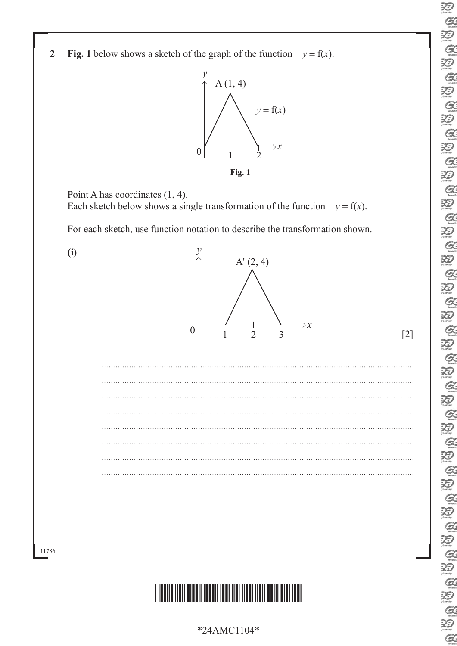$\sum_{\mu}$  $Q$  $\mathcal{Z}$  $\alpha$ 汩  $\alpha$ 汩  $\alpha$ 泡  $Q$ 泡  $\alpha$ 泡  $\alpha$  $\sum_{n \in \mathbb{N}}$  $Q$ 汩  $Q$ 泪  $\alpha$ 泡  $\mathcal{Q}$  $\mathcal{Z}$  $\alpha$  $\sum_{\text{learning}}$  $\alpha$  $\sum_{\text{learning}}$  $\alpha$ E  $\sum_{i \text{learning}}$  $\mathcal{Q}$ 泪  $\alpha$ 泡  $\alpha$ U Q U Q N E<br>B  $\alpha$ 

**2 Fig.** 1 below shows a sketch of the graph of the function  $y = f(x)$ .



Point A has coordinates (1, 4). Each sketch below shows a single transformation of the function  $y = f(x)$ .

For each sketch, use function notation to describe the transformation shown.



### \*24AMC1104\*

\*24AMC1104\*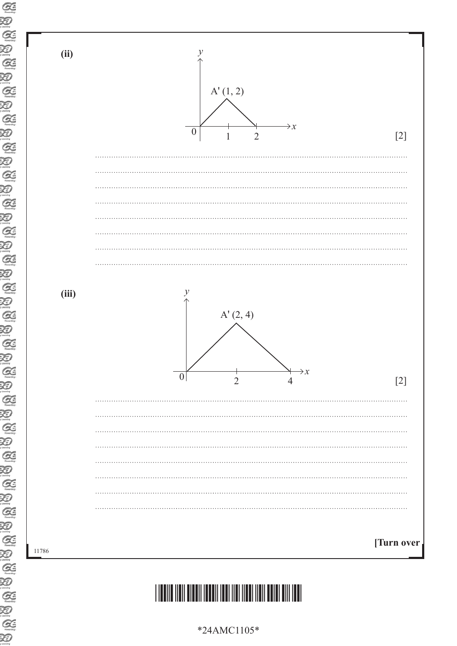

### \*24AMC1105\*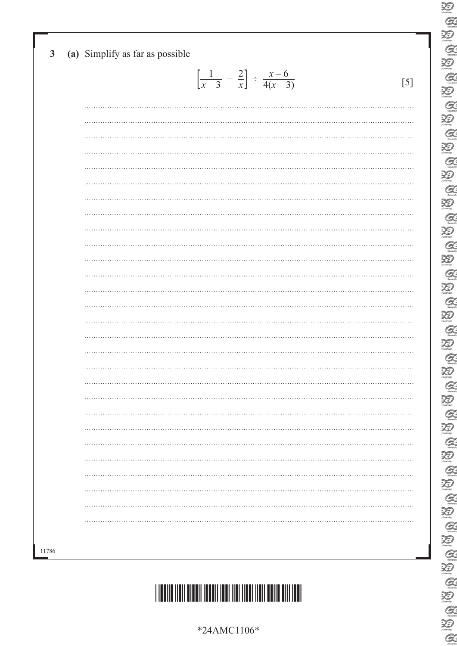| $\mathbf{3}$ | (a) Simplify as far as possible                                    |     |
|--------------|--------------------------------------------------------------------|-----|
|              | $\left[\frac{1}{x-3} - \frac{2}{x}\right] \div \frac{x-6}{4(x-3)}$ | [5] |
|              |                                                                    |     |
|              |                                                                    |     |
|              |                                                                    |     |
|              |                                                                    |     |
|              |                                                                    |     |
|              |                                                                    |     |
|              |                                                                    |     |
|              |                                                                    |     |
|              |                                                                    |     |
|              |                                                                    |     |
|              |                                                                    |     |
|              |                                                                    |     |
|              |                                                                    |     |
|              |                                                                    |     |
|              |                                                                    |     |
|              |                                                                    |     |
|              |                                                                    |     |
|              |                                                                    |     |
|              |                                                                    |     |
|              |                                                                    |     |
|              |                                                                    |     |
| 11786        |                                                                    |     |

 $\sum_{\text{Z}}$  $\alpha$  $\sum_{\text{learning}}$  $\alpha$  $\sum_{i \text{learning}}$  $Q$ 

E

 $\sum_{n=1}^{\infty}$ 

**ABB** 

20<br>Q

E

**E B B B** 

E

20

E Q B I

 $\alpha$ 

 $\overline{\mathcal{D}}$ 

 $\sum_{n=1}^\infty$  $\alpha$ 迴

E<br>E

**BABA** 

E<br>E

 $\frac{1}{2}$ 

 $Q$ 



\*24AMC1106\*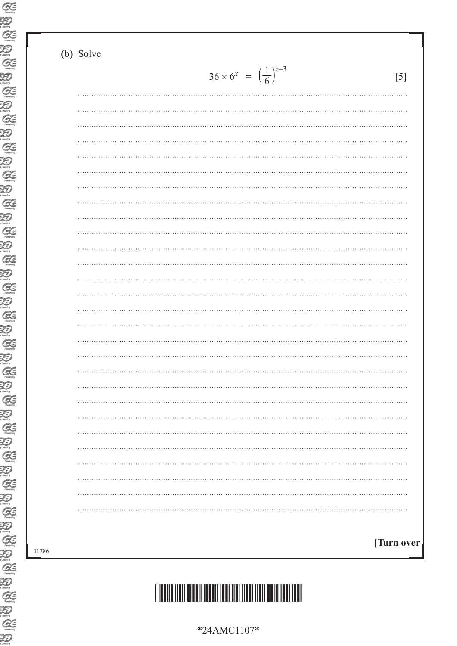#### **(b)** Solve

| [5] | $36 \times 6^x = \left(\frac{1}{6}\right)^{x-3}$ |  |
|-----|--------------------------------------------------|--|
|     |                                                  |  |
|     |                                                  |  |
| .   |                                                  |  |
|     |                                                  |  |
|     |                                                  |  |
|     |                                                  |  |
|     |                                                  |  |
|     |                                                  |  |
|     |                                                  |  |
|     |                                                  |  |
|     |                                                  |  |
|     |                                                  |  |
|     |                                                  |  |
|     |                                                  |  |
|     |                                                  |  |
|     |                                                  |  |
|     |                                                  |  |
|     |                                                  |  |
|     |                                                  |  |
|     |                                                  |  |
|     |                                                  |  |
|     |                                                  |  |
|     |                                                  |  |
|     |                                                  |  |
|     |                                                  |  |
|     |                                                  |  |
|     |                                                  |  |
|     |                                                  |  |



\*24AMC1107\*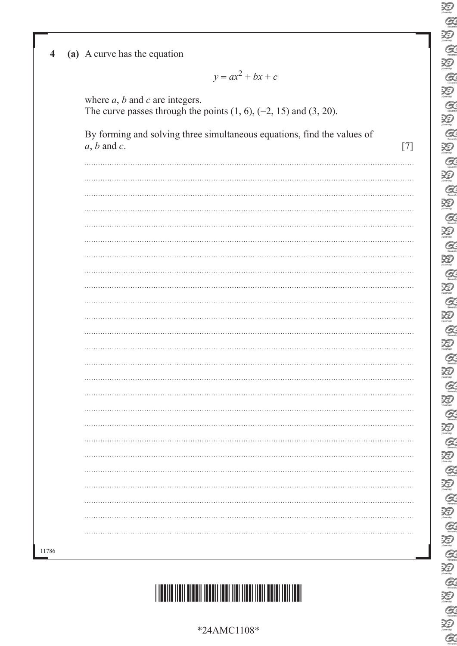| Ð                                |
|----------------------------------|
|                                  |
|                                  |
| Đ                                |
| Q                                |
|                                  |
| Ð                                |
|                                  |
| $\alpha$                         |
| X<br>V                           |
|                                  |
| $\alpha$                         |
| Q                                |
|                                  |
| $\alpha$                         |
| X)                               |
|                                  |
| Q                                |
|                                  |
| Q                                |
| $\alpha$                         |
|                                  |
| X                                |
|                                  |
| Q.                               |
| Ð                                |
|                                  |
| $\alpha$                         |
|                                  |
| Ð                                |
| <b>A</b>                         |
|                                  |
| Q                                |
|                                  |
| Q                                |
| Ð                                |
|                                  |
|                                  |
|                                  |
| $\mathcal{Q}$                    |
| Ð                                |
|                                  |
| G                                |
| ↗                                |
| X                                |
| Q.                               |
|                                  |
| X                                |
| Ç                                |
|                                  |
| Ð                                |
|                                  |
| $\mathcal{C}_{\mathcal{C}}$<br>Z |
|                                  |
| Ð                                |
| $\mathcal{C}$                    |
|                                  |
| R)                               |
| $\mathcal{Q}$                    |
|                                  |
| ≵<br>D                           |
|                                  |
| $\alpha$                         |
| X<br>D                           |
|                                  |
| <b>A</b>                         |
| Ð                                |
| X                                |
| Q                                |
|                                  |
| Ŗ<br>Ð                           |
|                                  |
|                                  |
| Ð                                |
| G<br>Z                           |

| 4 |  |  |  |  | (a) A curve has the equation |  |
|---|--|--|--|--|------------------------------|--|
|---|--|--|--|--|------------------------------|--|

 $y = ax^2 + bx + c$ 

where *a*, *b* and *c* are integers. The curve passes through the points  $(1, 6)$ ,  $(-2, 15)$  and  $(3, 20)$ .

| By forming and solving three simultaneous equations, find the values of |  |
|-------------------------------------------------------------------------|--|
| $a, b$ and $c$ .                                                        |  |

\*24AMC1108\*

\*24AMC1108\*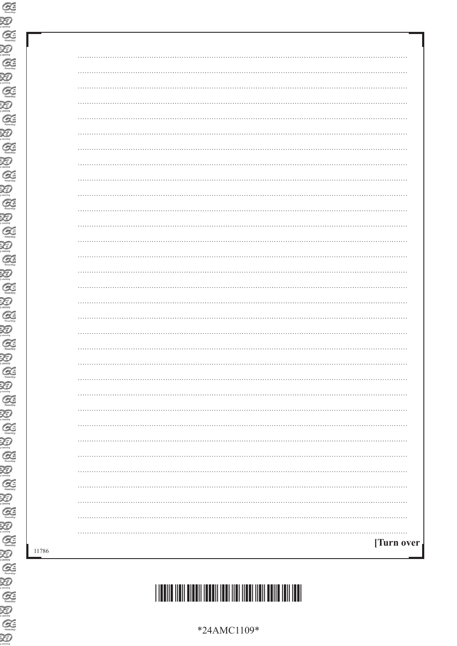| $\cdots$<br>.   |
|-----------------|
|                 |
|                 |
| $\cdots$        |
|                 |
|                 |
|                 |
|                 |
|                 |
| .               |
|                 |
|                 |
| .               |
|                 |
|                 |
| .               |
|                 |
|                 |
|                 |
|                 |
|                 |
|                 |
|                 |
|                 |
|                 |
|                 |
|                 |
|                 |
|                 |
| . <b>.</b>      |
| .<br>[Turn over |
|                 |
|                 |

\*24AMC1109\*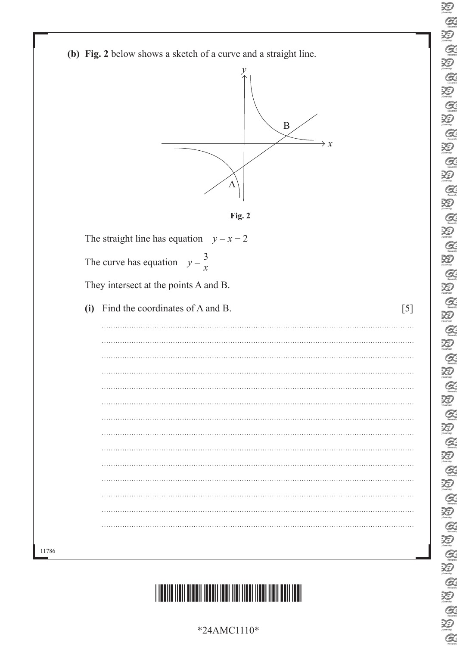|     |                                          | (b) Fig. 2 below shows a sketch of a curve and a straight line.<br>ν<br>$\mathbf B$<br>A | $\rightarrow x$ |
|-----|------------------------------------------|------------------------------------------------------------------------------------------|-----------------|
|     |                                          | Fig. 2<br>The straight line has equation $y = x - 2$                                     |                 |
|     |                                          |                                                                                          |                 |
|     | The curve has equation $y = \frac{3}{x}$ |                                                                                          |                 |
|     |                                          | They intersect at the points A and B.                                                    |                 |
|     |                                          |                                                                                          |                 |
| (i) |                                          | Find the coordinates of A and B.                                                         | [5]             |
|     |                                          |                                                                                          |                 |
|     |                                          |                                                                                          |                 |
|     |                                          |                                                                                          |                 |
|     |                                          |                                                                                          |                 |
|     |                                          |                                                                                          |                 |
|     |                                          |                                                                                          |                 |
|     |                                          |                                                                                          |                 |
|     |                                          |                                                                                          |                 |
|     |                                          |                                                                                          |                 |
|     |                                          |                                                                                          |                 |
|     |                                          |                                                                                          |                 |
|     |                                          |                                                                                          |                 |
|     |                                          |                                                                                          |                 |

 $\overline{\mathcal{Z}}$  $\alpha$  $\sum_{\text{learning}}$  $\alpha$  $\sum_{i \text{learning}}$  $Q$ 

E

泡  $\alpha$  $\sum_{\text{learning}}$  $\alpha$ 

E<br>Q

E

20

泡  $\alpha$ 

E<br>Q

E

酒  $\alpha$ 

E

 $\overline{\mathcal{D}}$ 

 $\sum_{\text{learning}}$  $\alpha$ 迴

E<br>E

 $Q$ 酒

E<br>E

E<br>E

E<br>E

 $Q$ 



\*24AMC1110\*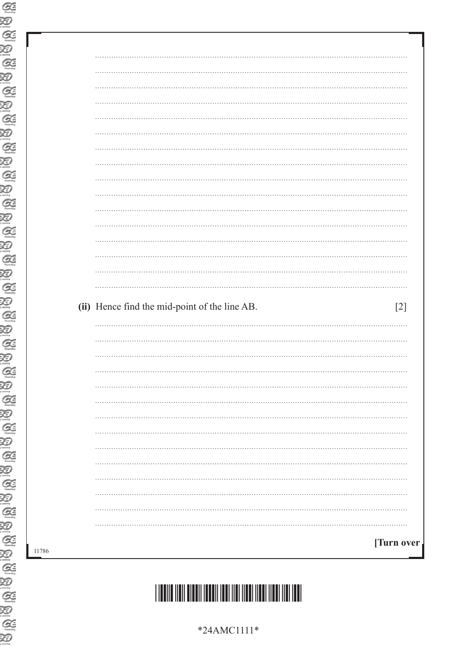| (ii) Hence find the mid-point of the line AB.<br>$[2]$ |
|--------------------------------------------------------|
|                                                        |
|                                                        |
|                                                        |
|                                                        |
|                                                        |
|                                                        |
|                                                        |
| .                                                      |
|                                                        |
|                                                        |
| .                                                      |
|                                                        |
|                                                        |
|                                                        |
| .                                                      |
| [Turn over                                             |

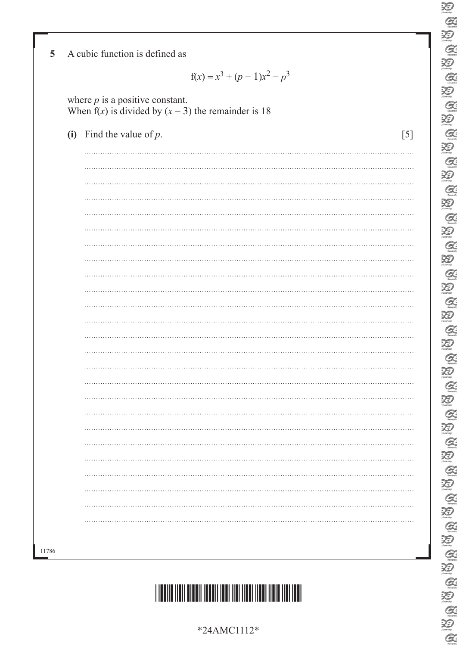| $f(x) = x^3 + (p - 1)x^2 - p^3$                                                              |     |
|----------------------------------------------------------------------------------------------|-----|
| where $p$ is a positive constant.<br>When $f(x)$ is divided by $(x - 3)$ the remainder is 18 |     |
| (i) Find the value of $p$ .                                                                  | [5] |
|                                                                                              |     |
|                                                                                              |     |
|                                                                                              |     |
|                                                                                              |     |
|                                                                                              |     |
|                                                                                              |     |
|                                                                                              |     |
|                                                                                              |     |
|                                                                                              |     |
|                                                                                              |     |
|                                                                                              |     |
|                                                                                              |     |
|                                                                                              |     |
|                                                                                              | .   |
|                                                                                              |     |
|                                                                                              |     |
|                                                                                              |     |
|                                                                                              |     |
|                                                                                              |     |
|                                                                                              |     |
|                                                                                              |     |
|                                                                                              |     |

**AU AU AU** 

20

**E A B A** 

**AUGAU** 

**AUGAUGAU** 

UG O UG O UG O UG O UG O UG

B A B A B A

E<br>E

 $Q$ 



\*24AMC1112\*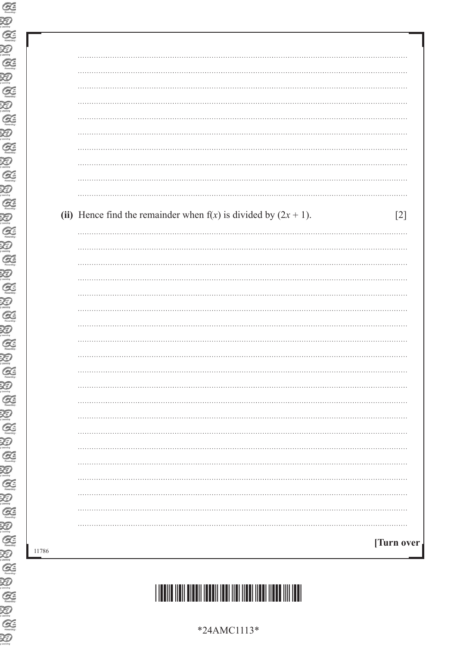| (ii) Hence find the remainder when $f(x)$ is divided by $(2x + 1)$ . | $[2]$ |
|----------------------------------------------------------------------|-------|
|                                                                      |       |
|                                                                      |       |
|                                                                      |       |
|                                                                      |       |
|                                                                      |       |
|                                                                      |       |
|                                                                      |       |
|                                                                      |       |
|                                                                      |       |
|                                                                      |       |
|                                                                      |       |
|                                                                      |       |
|                                                                      |       |
|                                                                      |       |
|                                                                      |       |
|                                                                      |       |
|                                                                      |       |
|                                                                      |       |
|                                                                      |       |



\*24AMC1113\*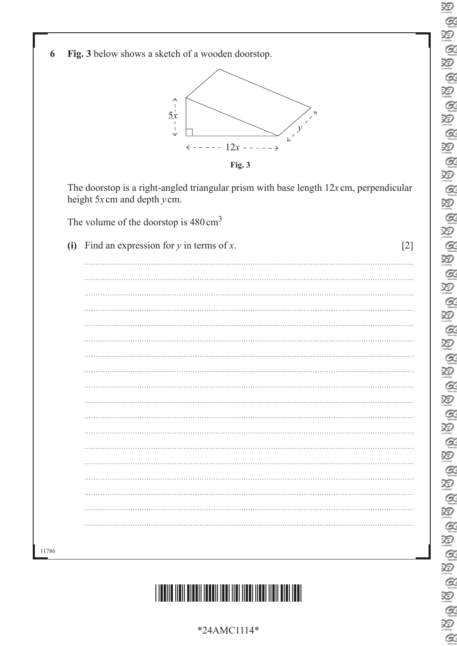



**Fig. 3**

The doorstop is a right-angled triangular prism with base length 12*x* cm, perpendicular height 5*x* cm and depth *y* cm.

The volume of the doorstop is  $480 \text{ cm}^3$ 

| (i) Find an expression for $y$ in terms of $x$ . | [2] |
|--------------------------------------------------|-----|
|                                                  |     |
|                                                  |     |
|                                                  |     |
|                                                  |     |
|                                                  |     |
|                                                  |     |
|                                                  |     |
|                                                  |     |
|                                                  |     |
|                                                  |     |
|                                                  |     |
|                                                  |     |
|                                                  |     |
|                                                  |     |
|                                                  |     |
|                                                  |     |
|                                                  |     |
|                                                  |     |
|                                                  |     |

11786



\*24AMC1114\*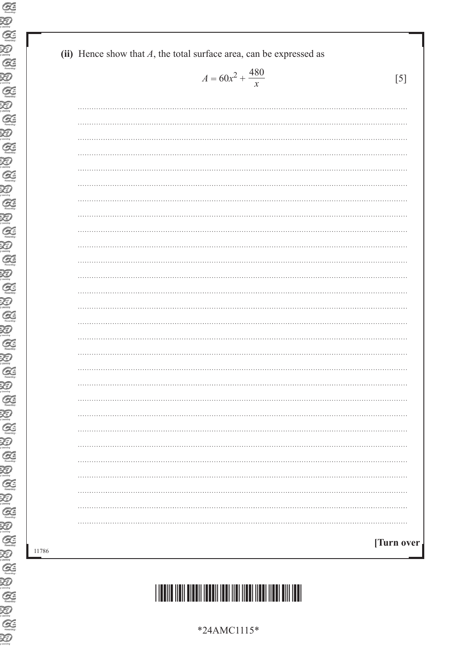|  |  |  |  |  | (ii) Hence show that $A$ , the total surface area, can be expressed as |
|--|--|--|--|--|------------------------------------------------------------------------|
|--|--|--|--|--|------------------------------------------------------------------------|

$$
A = 60x^2 + \frac{480}{x}
$$
 [5]

| $\ddots$   |
|------------|
|            |
|            |
| $\cdots$   |
|            |
|            |
| $\cdots$   |
|            |
|            |
| $\cdots$   |
|            |
| $\cdots$   |
|            |
|            |
| $\cdots$   |
|            |
|            |
|            |
|            |
|            |
|            |
|            |
|            |
|            |
| [Turn over |



\*24AMC1115\*

| ۰.<br>×<br>۰.<br>× |  |
|--------------------|--|
|--------------------|--|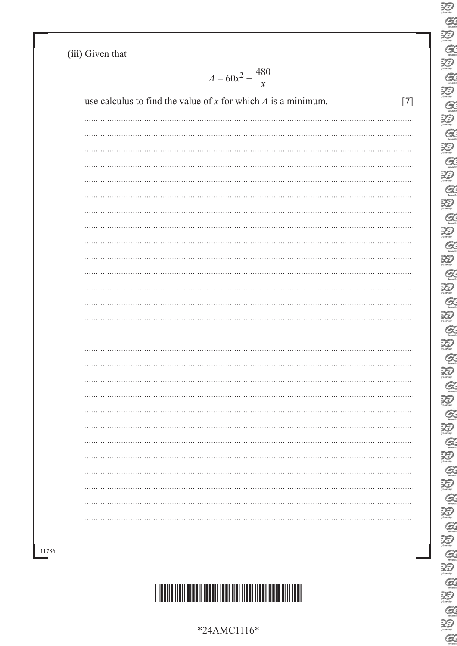**(iii)** Given that

 $A = 60x^2 + \frac{480}{x}$ *x*

| $\cdots$ |  |
|----------|--|
|          |  |
|          |  |
|          |  |
| $\cdots$ |  |
|          |  |
|          |  |
| $\cdots$ |  |
|          |  |
|          |  |
|          |  |
|          |  |
|          |  |
| $\cdots$ |  |
|          |  |
|          |  |
|          |  |
|          |  |
|          |  |
|          |  |
| $\cdots$ |  |
|          |  |
|          |  |
|          |  |
|          |  |
|          |  |
|          |  |
|          |  |
|          |  |

11786



E<br>C  $\sum_{\text{Z}}$  $\alpha$  $\sum_{\text{learning}}$  $\alpha$  $\sum_{i \text{ family}}$  $\mathcal{Q}$ E  $\sum_{\text{learning}}$ E E  $\mathcal{Q}$ 20<br>Q  $\sum_{n=1}^{\infty}$  $\alpha$ E  $\overline{\mathcal{X}}$  $\alpha$  $\sum_{\text{mean}}$  $\alpha$  $\sum_{\text{mean}}$  $\alpha$  $\sum_{n \text{ terms}}$  $\alpha$  $\overline{\mathbf{X}}$  $\alpha$  $\begin{picture}(20,20) \put(0,0){\line(1,0){155}} \put(15,0){\line(1,0){155}} \put(15,0){\line(1,0){155}} \put(15,0){\line(1,0){155}} \put(15,0){\line(1,0){155}} \put(15,0){\line(1,0){155}} \put(15,0){\line(1,0){155}} \put(15,0){\line(1,0){155}} \put(15,0){\line(1,0){155}} \put(15,0){\line(1,0){155}} \put(15,0){\line(1,0){155}} \$  $\overline{\mathcal{Z}}$  $\mathcal{Q}$ 迴 E<br>E B A B A B A  $Q$ 

\*24AMC1116\*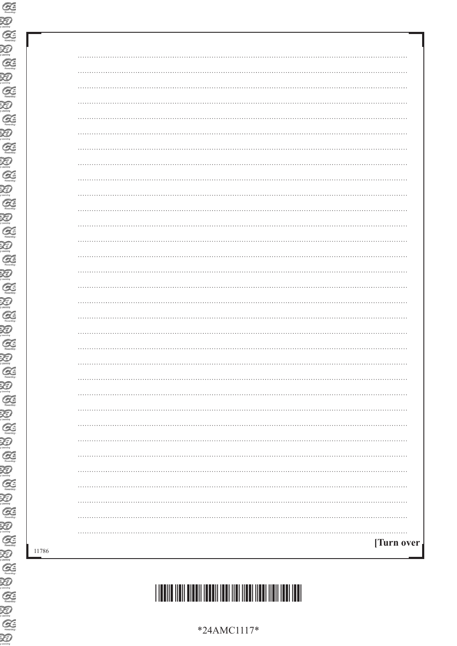| $\cdots$                  |
|---------------------------|
|                           |
|                           |
| . <b>.</b> .<br>$\ddotsc$ |
|                           |
|                           |
|                           |
|                           |
|                           |
|                           |
|                           |
|                           |
|                           |
|                           |
|                           |
|                           |
|                           |
|                           |
|                           |
|                           |
|                           |
|                           |
|                           |
|                           |
|                           |
|                           |
|                           |
|                           |
|                           |
|                           |
|                           |
| [Turn over <sub>1</sub>   |
|                           |

\*24AMC1117\*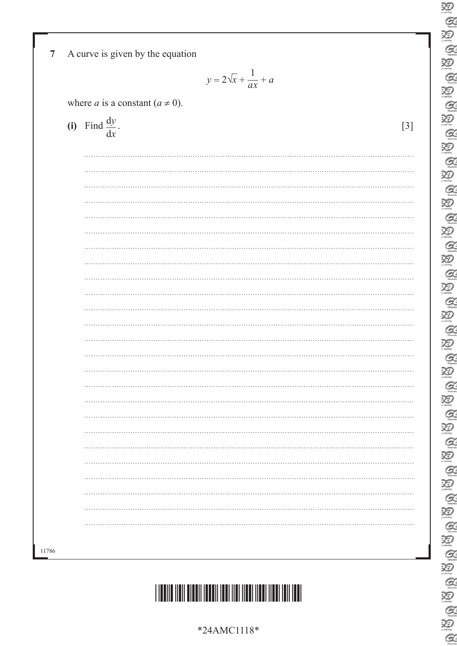| $y = 2\sqrt{x} + \frac{1}{ax} + a$          |       |
|---------------------------------------------|-------|
| where <i>a</i> is a constant ( $a \ne 0$ ). |       |
| (i) Find $\frac{dy}{dx}$ .                  | $[3]$ |
|                                             |       |
|                                             |       |
|                                             |       |
|                                             |       |
|                                             |       |
|                                             |       |
|                                             |       |
|                                             |       |
|                                             |       |
|                                             |       |
|                                             |       |
|                                             |       |
|                                             |       |
|                                             |       |
|                                             |       |
|                                             |       |
|                                             |       |
|                                             |       |
|                                             |       |
|                                             |       |
|                                             |       |

 $\sum_{\text{Z}}$  $\alpha$  $\sum_{\text{learning}}$  $\alpha$  $\sum_{i \text{learning}}$  $\alpha$ 

E

 $\sum_{n=1}^{\infty}$ 

**ABB** 

20<br>Q

E

**AUGAUGAU** 

20

 $\sum_{n=1}^\infty$  $\alpha$  $\sum_{\text{learning}}$  $\alpha$ 

 $\overline{\mathcal{D}}$ 

 $\sum_{n=1}^\infty$  $\mathcal{Q}$ 迴

E<br>E

**AB** 

 $\sum_{n=1}^\infty$ 

E<br>E

 $\frac{1}{2}$ 

 $Q$ 



\*24AMC1118\*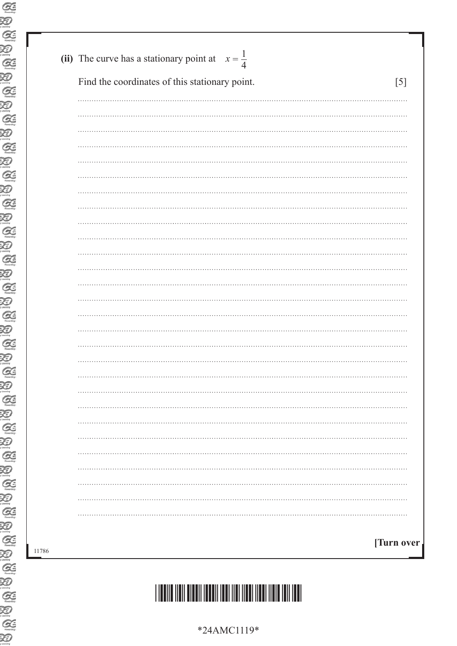| Find the coordinates of this stationary point.<br>[5] |
|-------------------------------------------------------|
|                                                       |
|                                                       |
|                                                       |
|                                                       |
|                                                       |
|                                                       |
|                                                       |
|                                                       |
|                                                       |
|                                                       |
|                                                       |
|                                                       |
|                                                       |
|                                                       |
|                                                       |
|                                                       |
|                                                       |
|                                                       |
|                                                       |
|                                                       |
|                                                       |
|                                                       |
|                                                       |
|                                                       |
|                                                       |
|                                                       |
|                                                       |
|                                                       |
|                                                       |
| [Turn over <sub>]</sub>                               |

# \*24AMC1119\*

\*24AMC1119\*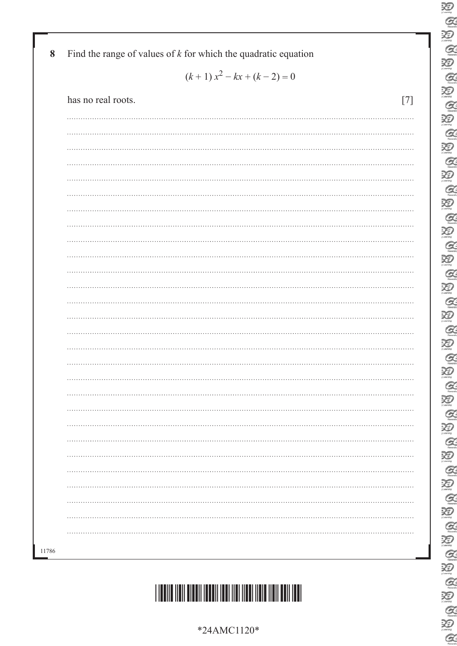| *24AMC1120* |
|-------------|
|             |

## \*24AMC1120\*

| $(k+1) x2 - kx + (k-2) = 0$ |     |  |  |  |
|-----------------------------|-----|--|--|--|
| has no real roots.          | [7] |  |  |  |
| $\ddotsc$                   |     |  |  |  |
|                             |     |  |  |  |
|                             |     |  |  |  |
| $\cdots$                    |     |  |  |  |
|                             |     |  |  |  |
|                             |     |  |  |  |
| $\cdots$                    |     |  |  |  |
|                             |     |  |  |  |
|                             |     |  |  |  |
| $\cdots$                    |     |  |  |  |
|                             |     |  |  |  |
| $\cdots$                    |     |  |  |  |
|                             |     |  |  |  |
|                             |     |  |  |  |
|                             |     |  |  |  |
|                             |     |  |  |  |
|                             |     |  |  |  |
|                             |     |  |  |  |
|                             |     |  |  |  |
|                             |     |  |  |  |
|                             |     |  |  |  |
| $\cdots$                    |     |  |  |  |
|                             |     |  |  |  |
|                             |     |  |  |  |
|                             |     |  |  |  |
|                             |     |  |  |  |
|                             |     |  |  |  |
|                             |     |  |  |  |

**8** Find the range of values of *k* for which the quadratic equation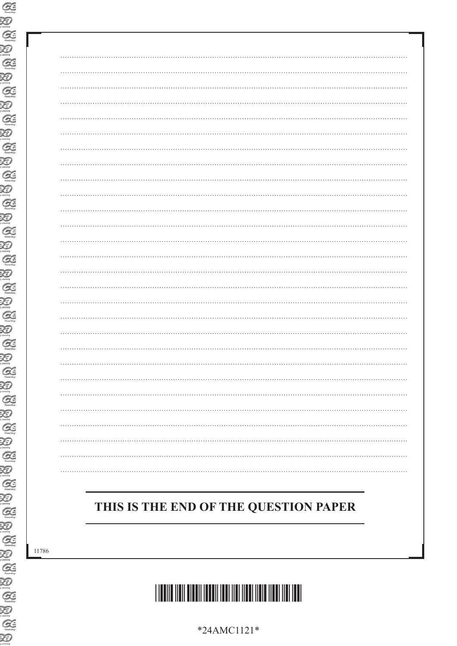| THIS IS THE END OF THE QUESTION PAPER |  |
|---------------------------------------|--|
|                                       |  |
|                                       |  |
|                                       |  |

# \*24AMC1121\*

\*24AMC1121\*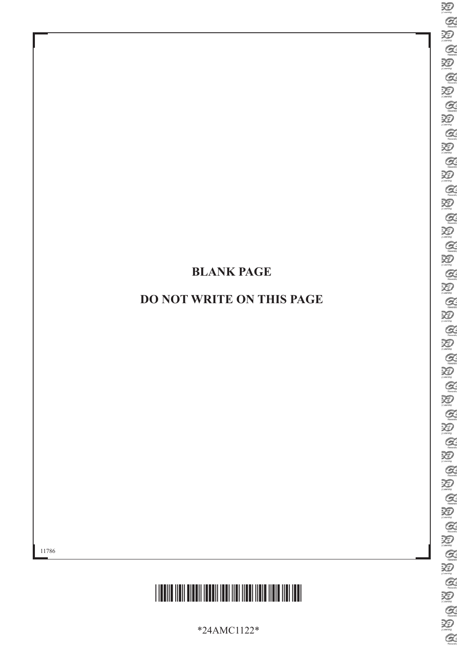### **BLANK PAGE**

### **DO NOT WRITE ON THIS PAGE**



\*24AMC1122\*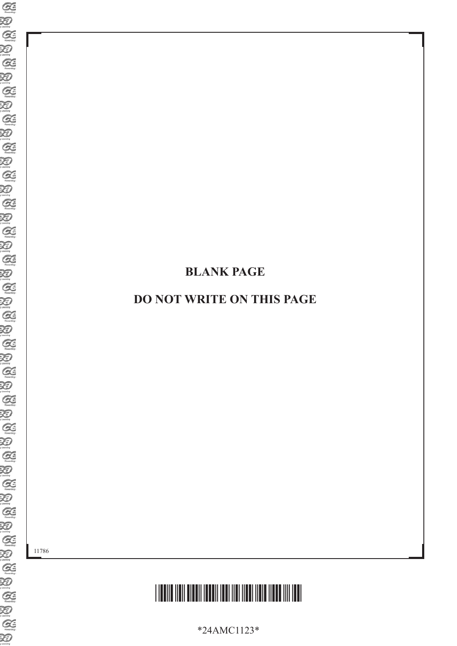### **BLANK PAGE**

### **DO NOT WRITE ON THIS PAGE**

11786



\*24AMC1123\*